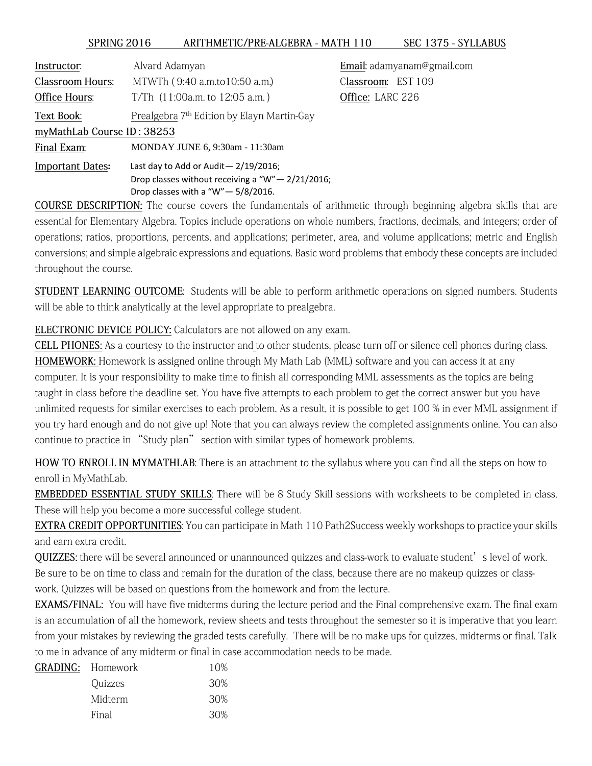## SPRING 2016 ARITHMETIC/PRE-ALGEBRA - MATH 110 SEC 1375 - SYLLABUS

| Instructor.                | Alvard Adamyan                                         | Email: adamyanam@gmail.com |
|----------------------------|--------------------------------------------------------|----------------------------|
| Classroom Hours:           | MTWTh (9:40 a.m.to10:50 a.m.)                          | EST 109<br>Classroom:      |
| Office Hours:              | T/Th $(11:00a.m.$ to $12:05 a.m.$ )                    | Office: LARC 226           |
| Text Book:                 | Prealgebra 7 <sup>th</sup> Edition by Elayn Martin-Gay |                            |
| myMathLab Course ID: 38253 |                                                        |                            |
| Final Exam:                | MONDAY JUNE 6, 9:30am - 11:30am                        |                            |
| <b>Important Dates:</b>    | Last day to Add or Audit $-2/19/2016$ ;                |                            |
|                            | Drop classes without receiving a " $W'' - 2/21/2016$ ; |                            |
|                            | Drop classes with a "W" $-$ 5/8/2016.                  |                            |

COURSE DESCRIPTION: The course covers the fundamentals of arithmetic through beginning algebra skills that are essential for Elementary Algebra. Topics include operations on whole numbers, fractions, decimals, and integers; order of operations; ratios, proportions, percents, and applications; perimeter, area, and volume applications; metric and English conversions; and simple algebraic expressions and equations. Basic word problems that embody these concepts are included throughout the course.

STUDENT LEARNING OUTCOME: Students will be able to perform arithmetic operations on signed numbers. Students will be able to think analytically at the level appropriate to prealgebra.

ELECTRONIC DEVICE POLICY: Calculators are not allowed on any exam.

CELL PHONES: As a courtesy to the instructor and to other students, please turn off or silence cell phones during class. HOMEWORK: Homework is assigned online through My Math Lab (MML) software and you can access it at any computer. It is your responsibility to make time to finish all corresponding MML assessments as the topics are being taught in class before the deadline set. You have five attempts to each problem to get the correct answer but you have unlimited requests for similar exercises to each problem. As a result, it is possible to get 100 % in ever MML assignment if you try hard enough and do not give up! Note that you can always review the completed assignments online. You can also continue to practice in "Study plan" section with similar types of homework problems.

HOW TO ENROLL IN MYMATHLAB: There is an attachment to the syllabus where you can find all the steps on how to enroll in MyMathLab.

EMBEDDED ESSENTIAL STUDY SKILLS: There will be 8 Study Skill sessions with worksheets to be completed in class. These will help you become a more successful college student.

EXTRA CREDIT OPPORTUNITIES: You can participate in Math 110 Path2Success weekly workshops to practice your skills and earn extra credit.

QUIZZES: there will be several announced or unannounced quizzes and class-work to evaluate student's level of work. Be sure to be on time to class and remain for the duration of the class, because there are no makeup quizzes or classwork. Quizzes will be based on questions from the homework and from the lecture.

EXAMS/FINAL: You will have five midterms during the lecture period and the Final comprehensive exam. The final exam is an accumulation of all the homework, review sheets and tests throughout the semester so it is imperative that you learn from your mistakes by reviewing the graded tests carefully. There will be no make ups for quizzes, midterms or final. Talk to me in advance of any midterm or final in case accommodation needs to be made.

| <b>GRADING:</b> Homework | 10%  |
|--------------------------|------|
| Quizzes                  | .30% |
| Midterm                  | .30% |
| Final                    | 30%  |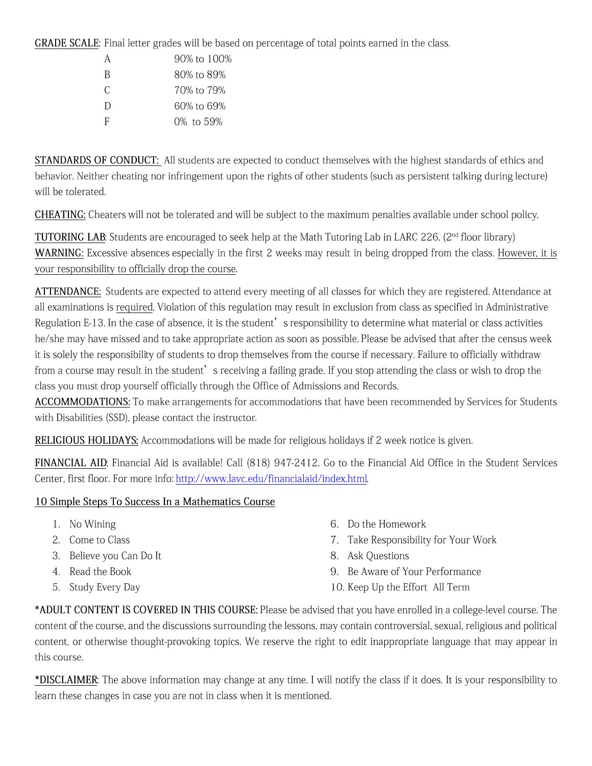GRADE SCALE: Final letter grades will be based on percentage of total points earned in the class.

| А | 90% to 100% |
|---|-------------|
| B | 80% to 89%  |
| C | 70% to 79%  |
| D | 60% to 69%  |
| F | 0% to 59%   |

STANDARDS OF CONDUCT: All students are expected to conduct themselves with the highest standards of ethics and behavior. Neither cheating nor infringement upon the rights of other students (such as persistent talking during lecture) will be tolerated.

CHEATING: Cheaters will not be tolerated and will be subject to the maximum penalties available under school policy.

TUTORING LAB: Students are encouraged to seek help at the Math Tutoring Lab in LARC 226. (2<sup>nd</sup> floor library) WARNING: Excessive absences especially in the first 2 weeks may result in being dropped from the class. However, it is your responsibility to officially drop the course.

ATTENDANCE: Students are expected to attend every meeting of all classes for which they are registered. Attendance at all examinations is required. Violation of this regulation may result in exclusion from class as specified in Administrative Regulation E-13. In the case of absence, it is the student's responsibility to determine what material or class activities he/she may have missed and to take appropriate action as soon as possible. Please be advised that after the census week it is solely the responsibility of students to drop themselves from the course if necessary. Failure to officially withdraw from a course may result in the student's receiving a failing grade. If you stop attending the class or wish to drop the class you must drop yourself officially through the Office of Admissions and Records.

**ACCOMMODATIONS:** To make arrangements for accommodations that have been recommended by Services for Students with Disabilities (SSD), please contact the instructor.

RELIGIOUS HOLIDAYS: Accommodations will be made for religious holidays if 2 week notice is given.

FINANCIAL AID: Financial Aid is available! Call (818) 947-2412. Go to the Financial Aid Office in the Student Services Center, first floor. For more info: http://www.lavc.edu/financialaid/index.html.

## 10 Simple Steps To Success In a Mathematics Course

- 1. No Wining
- 2. Come to Class
- 3. Believe you Can Do It
- 4. Read the Book
- 5. Study Every Day
- 6. Do the Homework
- 7. Take Responsibility for Your Work
- 8. Ask Questions
- 9. Be Aware of Your Performance
- 10. Keep Up the Effort All Term

\*ADULT CONTENT IS COVERED IN THIS COURSE: Please be advised that you have enrolled in a college-level course. The content of the course, and the discussions surrounding the lessons, may contain controversial, sexual, religious and political content, or otherwise thought-provoking topics. We reserve the right to edit inappropriate language that may appear in this course.

\*DISCLAIMER: The above information may change at any time. I will notify the class if it does. It is your responsibility to learn these changes in case you are not in class when it is mentioned.